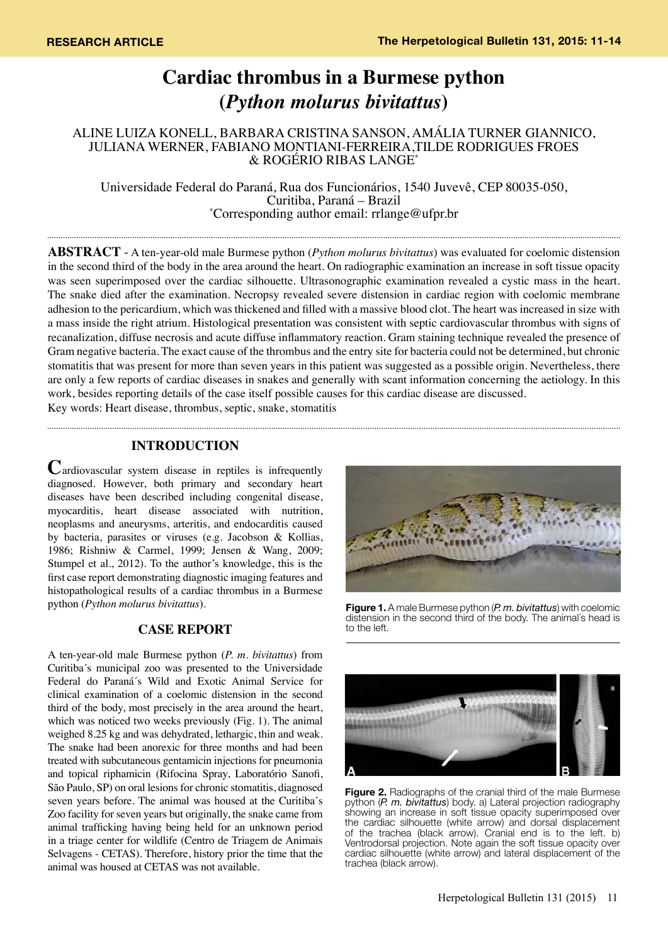# **Cardiac thrombus in a Burmese python (***Python molurus bivitattus***)**

ALINE LUIZA KONELL, BARBARA CRISTINA SANSON, AMÁLIA TURNER GIANNICO, JULIANA WERNER, FABIANO MONTIANI-FERREIRA,TILDE RODRIGUES FROES & ROGÉRIO RIBAS LANGE\*

Universidade Federal do Paraná, Rua dos Funcionários, 1540 Juvevê, CEP 80035-050, Curitiba, Paraná – Brazil \* Corresponding author email: rrlange@ufpr.br

**Abstract** - A ten-year-old male Burmese python (*Python molurus bivitattus*) was evaluated for coelomic distension in the second third of the body in the area around the heart. On radiographic examination an increase in soft tissue opacity was seen superimposed over the cardiac silhouette. Ultrasonographic examination revealed a cystic mass in the heart. The snake died after the examination. Necropsy revealed severe distension in cardiac region with coelomic membrane adhesion to the pericardium, which was thickened and filled with a massive blood clot. The heart was increased in size with a mass inside the right atrium. Histological presentation was consistent with septic cardiovascular thrombus with signs of recanalization, diffuse necrosis and acute diffuse inflammatory reaction. Gram staining technique revealed the presence of Gram negative bacteria. The exact cause of the thrombus and the entry site for bacteria could not be determined, but chronic stomatitis that was present for more than seven years in this patient was suggested as a possible origin. Nevertheless, there are only a few reports of cardiac diseases in snakes and generally with scant information concerning the aetiology. In this work, besides reporting details of the case itself possible causes for this cardiac disease are discussed. Key words: Heart disease, thrombus, septic, snake, stomatitis

## **INTRODUCTION**

**C**ardiovascular system disease in reptiles is infrequently diagnosed. However, both primary and secondary heart diseases have been described including congenital disease, myocarditis, heart disease associated with nutrition, neoplasms and aneurysms, arteritis, and endocarditis caused by bacteria, parasites or viruses (e.g. Jacobson & Kollias, 1986; Rishniw & Carmel, 1999; Jensen & Wang, 2009; Stumpel et al., 2012). To the author's knowledge, this is the first case report demonstrating diagnostic imaging features and histopathological results of a cardiac thrombus in a Burmese python (*Python molurus bivitattus*).

## **CASE REPORT**

A ten-year-old male Burmese python (*P. m. bivitattus*) from Curitiba´s municipal zoo was presented to the Universidade Federal do Paraná´s Wild and Exotic Animal Service for clinical examination of a coelomic distension in the second third of the body, most precisely in the area around the heart, which was noticed two weeks previously (Fig. 1). The animal weighed 8.25 kg and was dehydrated, lethargic, thin and weak. The snake had been anorexic for three months and had been treated with subcutaneous gentamicin injections for pneumonia and topical riphamicin (Rifocina Spray, Laboratório Sanofi, São Paulo, SP) on oral lesions for chronic stomatitis, diagnosed seven years before. The animal was housed at the Curitiba´s Zoo facility for seven years but originally, the snake came from animal trafficking having being held for an unknown period in a triage center for wildlife (Centro de Triagem de Animais Selvagens - CETAS). Therefore, history prior the time that the animal was housed at CETAS was not available.



**Figure 1.** A male Burmese python (*P. m. bivitattus*) with coelomic distension in the second third of the body. The animal´s head is to the left.



**Figure 2.** Radiographs of the cranial third of the male Burmese python (*P. m. bivitattus*) body. a) Lateral projection radiography showing an increase in soft tissue opacity superimposed over the cardiac silhouette (white arrow) and dorsal displacement of the trachea (black arrow). Cranial end is to the left. b) Ventrodorsal projection. Note again the soft tissue opacity over cardiac silhouette (white arrow) and lateral displacement of the trachea (black arrow).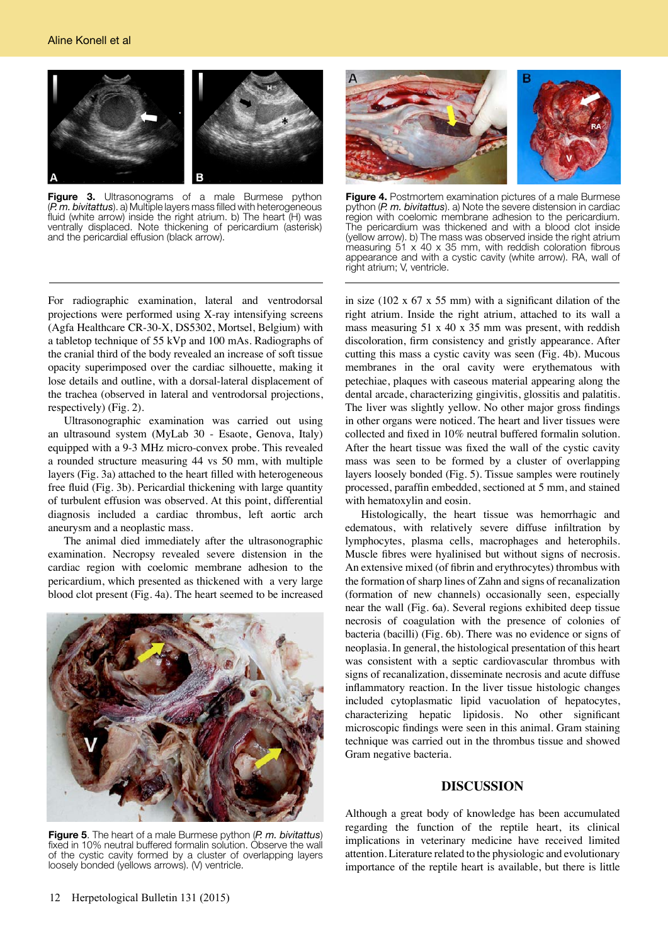

**Figure 3.** Ultrasonograms of a male Burmese python (*P. m. bivitattus*). a) Multiple layers mass filled with heterogeneous fluid (white arrow) inside the right atrium. b) The heart (H) was ventrally displaced. Note thickening of pericardium (asterisk) and the pericardial effusion (black arrow).



**Figure 4.** Postmortem examination pictures of a male Burmese python (*P. m. bivitattus*). a) Note the severe distension in cardiac region with coelomic membrane adhesion to the pericardium. The pericardium was thickened and with a blood clot inside (yellow arrow). b) The mass was observed inside the right atrium measuring 51 x 40 x 35 mm, with reddish coloration fibrous appearance and with a cystic cavity (white arrow). RA, wall of right atrium; V, ventricle.

For radiographic examination, lateral and ventrodorsal projections were performed using X-ray intensifying screens (Agfa Healthcare CR-30-X, DS5302, Mortsel, Belgium) with a tabletop technique of 55 kVp and 100 mAs. Radiographs of the cranial third of the body revealed an increase of soft tissue opacity superimposed over the cardiac silhouette, making it lose details and outline, with a dorsal-lateral displacement of the trachea (observed in lateral and ventrodorsal projections, respectively) (Fig. 2).

Ultrasonographic examination was carried out using an ultrasound system (MyLab 30 - Esaote, Genova, Italy) equipped with a 9-3 MHz micro-convex probe. This revealed a rounded structure measuring 44 vs 50 mm, with multiple layers (Fig. 3a) attached to the heart filled with heterogeneous free fluid (Fig. 3b). Pericardial thickening with large quantity of turbulent effusion was observed. At this point, differential diagnosis included a cardiac thrombus, left aortic arch aneurysm and a neoplastic mass.

The animal died immediately after the ultrasonographic examination. Necropsy revealed severe distension in the cardiac region with coelomic membrane adhesion to the pericardium, which presented as thickened with a very large blood clot present (Fig. 4a). The heart seemed to be increased



**Figure 5**. The heart of a male Burmese python (*P. m. bivitattus*) fixed in 10% neutral buffered formalin solution. Observe the wall of the cystic cavity formed by a cluster of overlapping layers loosely bonded (yellows arrows). (V) ventricle.

in size (102 x  $67$  x 55 mm) with a significant dilation of the right atrium. Inside the right atrium, attached to its wall a mass measuring 51 x 40 x 35 mm was present, with reddish discoloration, firm consistency and gristly appearance. After cutting this mass a cystic cavity was seen (Fig. 4b). Mucous membranes in the oral cavity were erythematous with petechiae, plaques with caseous material appearing along the dental arcade, characterizing gingivitis, glossitis and palatitis. The liver was slightly yellow. No other major gross findings in other organs were noticed. The heart and liver tissues were collected and fixed in 10% neutral buffered formalin solution. After the heart tissue was fixed the wall of the cystic cavity mass was seen to be formed by a cluster of overlapping layers loosely bonded (Fig. 5). Tissue samples were routinely processed, paraffin embedded, sectioned at 5 mm, and stained with hematoxylin and eosin.

Histologically, the heart tissue was hemorrhagic and edematous, with relatively severe diffuse infiltration by lymphocytes, plasma cells, macrophages and heterophils. Muscle fibres were hyalinised but without signs of necrosis. An extensive mixed (of fibrin and erythrocytes) thrombus with the formation of sharp lines of Zahn and signs of recanalization (formation of new channels) occasionally seen, especially near the wall (Fig. 6a). Several regions exhibited deep tissue necrosis of coagulation with the presence of colonies of bacteria (bacilli) (Fig. 6b). There was no evidence or signs of neoplasia. In general, the histological presentation of this heart was consistent with a septic cardiovascular thrombus with signs of recanalization, disseminate necrosis and acute diffuse inflammatory reaction. In the liver tissue histologic changes included cytoplasmatic lipid vacuolation of hepatocytes, characterizing hepatic lipidosis. No other significant microscopic findings were seen in this animal. Gram staining technique was carried out in the thrombus tissue and showed Gram negative bacteria.

#### **DISCUSSION**

Although a great body of knowledge has been accumulated regarding the function of the reptile heart, its clinical implications in veterinary medicine have received limited attention. Literature related to the physiologic and evolutionary importance of the reptile heart is available, but there is little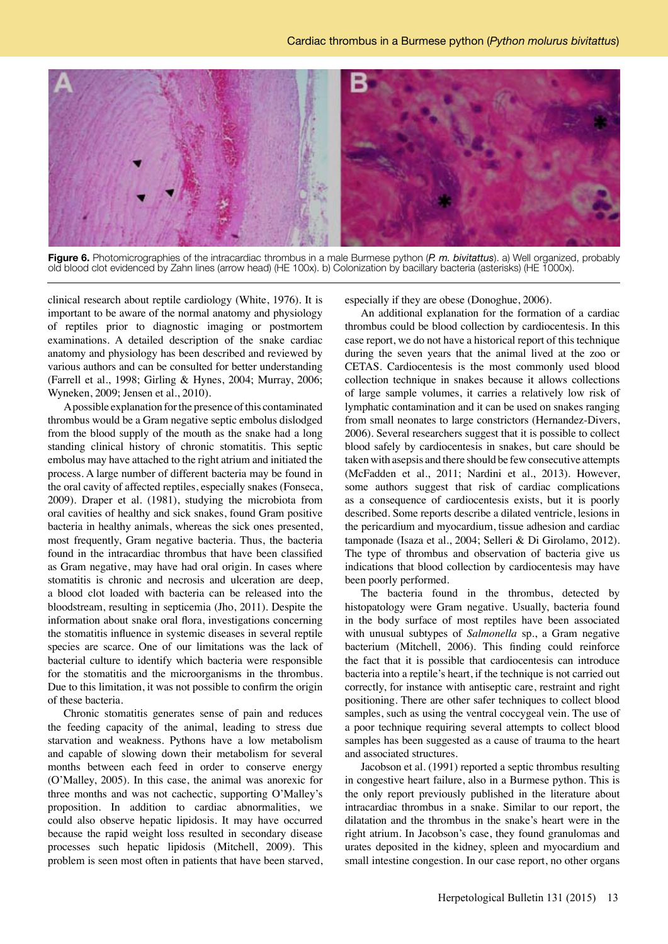

**Figure 6.** Photomicrographies of the intracardiac thrombus in a male Burmese python (*P. m. bivitattus*). a) Well organized, probably old blood clot evidenced by Zahn lines (arrow head) (HE 100x). b) Colonization by bacillary bacteria (asterisks) (HE 1000x).

clinical research about reptile cardiology (White, 1976). It is important to be aware of the normal anatomy and physiology of reptiles prior to diagnostic imaging or postmortem examinations. A detailed description of the snake cardiac anatomy and physiology has been described and reviewed by various authors and can be consulted for better understanding (Farrell et al., 1998; Girling & Hynes, 2004; Murray, 2006; Wyneken, 2009; Jensen et al., 2010).

A possible explanation for the presence of this contaminated thrombus would be a Gram negative septic embolus dislodged from the blood supply of the mouth as the snake had a long standing clinical history of chronic stomatitis. This septic embolus may have attached to the right atrium and initiated the process. A large number of different bacteria may be found in the oral cavity of affected reptiles, especially snakes (Fonseca, 2009). Draper et al. (1981), studying the microbiota from oral cavities of healthy and sick snakes, found Gram positive bacteria in healthy animals, whereas the sick ones presented, most frequently, Gram negative bacteria. Thus, the bacteria found in the intracardiac thrombus that have been classified as Gram negative, may have had oral origin. In cases where stomatitis is chronic and necrosis and ulceration are deep, a blood clot loaded with bacteria can be released into the bloodstream, resulting in septicemia (Jho, 2011). Despite the information about snake oral flora, investigations concerning the stomatitis influence in systemic diseases in several reptile species are scarce. One of our limitations was the lack of bacterial culture to identify which bacteria were responsible for the stomatitis and the microorganisms in the thrombus. Due to this limitation, it was not possible to confirm the origin of these bacteria.

Chronic stomatitis generates sense of pain and reduces the feeding capacity of the animal, leading to stress due starvation and weakness. Pythons have a low metabolism and capable of slowing down their metabolism for several months between each feed in order to conserve energy (O'Malley, 2005). In this case, the animal was anorexic for three months and was not cachectic, supporting O'Malley's proposition. In addition to cardiac abnormalities, we could also observe hepatic lipidosis. It may have occurred because the rapid weight loss resulted in secondary disease processes such hepatic lipidosis (Mitchell, 2009). This problem is seen most often in patients that have been starved, especially if they are obese (Donoghue, 2006).

An additional explanation for the formation of a cardiac thrombus could be blood collection by cardiocentesis. In this case report, we do not have a historical report of this technique during the seven years that the animal lived at the zoo or CETAS. Cardiocentesis is the most commonly used blood collection technique in snakes because it allows collections of large sample volumes, it carries a relatively low risk of lymphatic contamination and it can be used on snakes ranging from small neonates to large constrictors (Hernandez-Divers, 2006). Several researchers suggest that it is possible to collect blood safely by cardiocentesis in snakes, but care should be taken with asepsis and there should be few consecutive attempts (McFadden et al., 2011; Nardini et al., 2013). However, some authors suggest that risk of cardiac complications as a consequence of cardiocentesis exists, but it is poorly described. Some reports describe a dilated ventricle, lesions in the pericardium and myocardium, tissue adhesion and cardiac tamponade (Isaza et al., 2004; Selleri & Di Girolamo, 2012). The type of thrombus and observation of bacteria give us indications that blood collection by cardiocentesis may have been poorly performed.

The bacteria found in the thrombus, detected by histopatology were Gram negative. Usually, bacteria found in the body surface of most reptiles have been associated with unusual subtypes of *Salmonella* sp., a Gram negative bacterium (Mitchell, 2006). This finding could reinforce the fact that it is possible that cardiocentesis can introduce bacteria into a reptile's heart, if the technique is not carried out correctly, for instance with antiseptic care, restraint and right positioning. There are other safer techniques to collect blood samples, such as using the ventral coccygeal vein. The use of a poor technique requiring several attempts to collect blood samples has been suggested as a cause of trauma to the heart and associated structures.

Jacobson et al. (1991) reported a septic thrombus resulting in congestive heart failure, also in a Burmese python. This is the only report previously published in the literature about intracardiac thrombus in a snake. Similar to our report, the dilatation and the thrombus in the snake's heart were in the right atrium. In Jacobson's case, they found granulomas and urates deposited in the kidney, spleen and myocardium and small intestine congestion. In our case report, no other organs